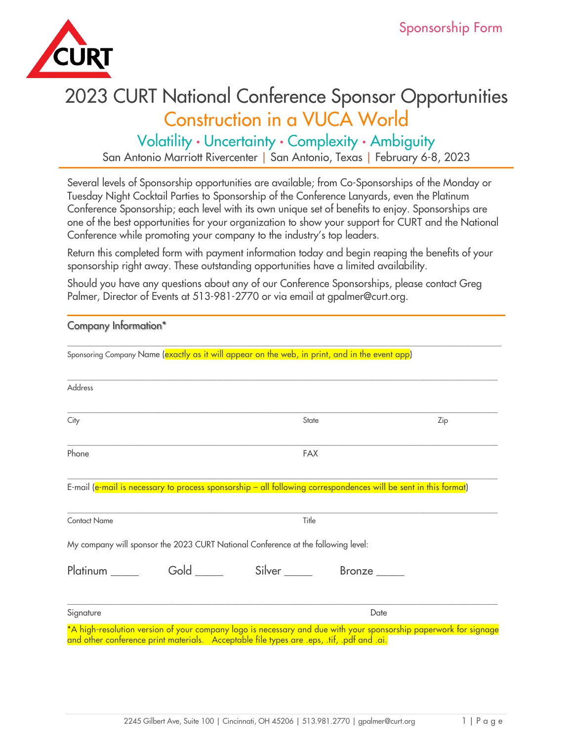

# 2023 CURT National Conference Sponsor Opportunities Construction in a VUCA World

Volatility · Uncertainty · Complexity · Ambiguity San Antonio Marriott Rivercenter | San Antonio, Texas | February 6-8, 2023

Several levels of Sponsorship opportunities are available; from Co-Sponsorships of the Monday or Tuesday Night Cocktail Parties to Sponsorship of the Conference Lanyards, even the Platinum Conference Sponsorship; each level with its own unique set of benefits to enjoy. Sponsorships are one of the best opportunities for your organization to show your support for CURT and the National Conference while promoting your company to the industry's top leaders.

Return this completed form with payment information today and begin reaping the benefits of your sponsorship right away. These outstanding opportunities have a limited availability.

Should you have any questions about any of our Conference Sponsorships, please contact Greg Palmer, Director of Events at 513-981-2770 or via email at gpalmer@curt.org.

| <b>Company Information*</b> |                                                                                                                 |            |      |                                                                                                                  |  |
|-----------------------------|-----------------------------------------------------------------------------------------------------------------|------------|------|------------------------------------------------------------------------------------------------------------------|--|
|                             | Sponsoring Company Name (exactly as it will appear on the web, in print, and in the event app)                  |            |      |                                                                                                                  |  |
| Address                     |                                                                                                                 |            |      |                                                                                                                  |  |
| City                        |                                                                                                                 | State      |      | Zip                                                                                                              |  |
| Phone                       |                                                                                                                 | <b>FAX</b> |      |                                                                                                                  |  |
|                             | E-mail (e-mail is necessary to process sponsorship - all following correspondences will be sent in this format) |            |      |                                                                                                                  |  |
| <b>Contact Name</b>         |                                                                                                                 | Title      |      |                                                                                                                  |  |
|                             | My company will sponsor the 2023 CURT National Conference at the following level:                               |            |      |                                                                                                                  |  |
|                             | Platinum ______ Gold _____ Silver _____ Bronze ____                                                             |            |      |                                                                                                                  |  |
| Signature                   |                                                                                                                 |            | Date |                                                                                                                  |  |
|                             | and other conference print materials. Acceptable file types are .eps, .tif, .pdf and .ai.                       |            |      | *A high-resolution version of your company logo is necessary and due with your sponsorship paperwork for signage |  |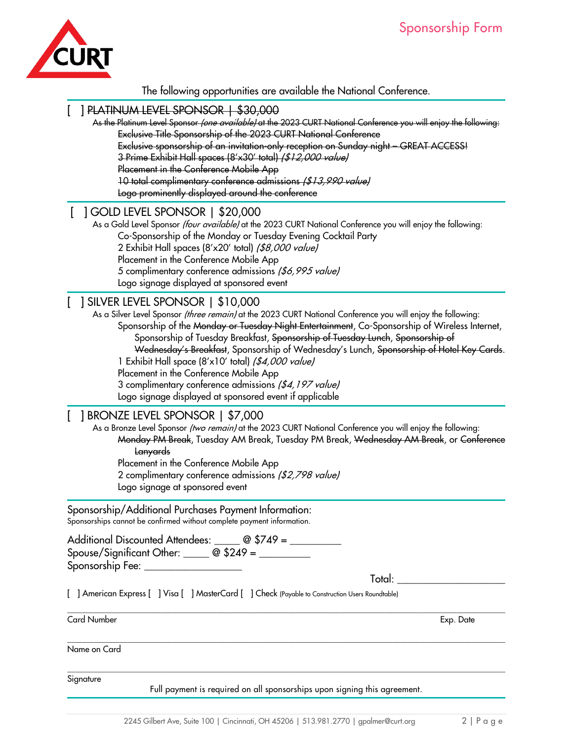

#### The following opportunities are available the National Conference.

#### [ ] PLATINUM LEVEL SPONSOR | \$30,000

As the Platinum Level Sponsor *(one available)* at the 2023 CURT National Conference you will enjoy the following: Exclusive Title Sponsorship of the 2023 CURT National Conference

Exclusive sponsorship of an invitation-only reception on Sunday night – GREAT ACCESS!

3 Prime Exhibit Hall spaces (8'x30' total) (\$12,000 value)

Placement in the Conference Mobile App

10 total complimentary conference admissions (\$13,990 value)

Logo prominently displayed around the conference

## [ ] GOLD LEVEL SPONSOR | \$20,000

As a Gold Level Sponsor *(four available)* at the 2023 CURT National Conference you will enjoy the following: Co-Sponsorship of the Monday or Tuesday Evening Cocktail Party 2 Exhibit Hall spaces (8'x20' total) (\$8,000 value) Placement in the Conference Mobile App 5 complimentary conference admissions (\$6,995 value) Logo signage displayed at sponsored event

## [ ] SILVER LEVEL SPONSOR | \$10,000

As a Silver Level Sponsor *(three remain)* at the 2023 CURT National Conference you will enjoy the following: Sponsorship of the Monday or Tuesday Night Entertainment, Co-Sponsorship of Wireless Internet, Sponsorship of Tuesday Breakfast, Sponsorship of Tuesday Lunch, Sponsorship of

Wednesday's Breakfast, Sponsorship of Wednesday's Lunch, Sponsorship of Hotel Key Cards.

1 Exhibit Hall space (8'x10' total) (\$4,000 value)

Placement in the Conference Mobile App

3 complimentary conference admissions (\$4,197 value)

Logo signage displayed at sponsored event if applicable

#### [ ] BRONZE LEVEL SPONSOR | \$7,000

As a Bronze Level Sponsor (two remain) at the 2023 CURT National Conference you will enjoy the following: Monday PM Break, Tuesday AM Break, Tuesday PM Break, Wednesday AM Break, or Conference Lanyards Placement in the Conference Mobile App

2 complimentary conference admissions (\$2,798 value) Logo signage at sponsored event

Sponsorship/Additional Purchases Payment Information: Sponsorships cannot be confirmed without complete payment information.

Additional Discounted Attendees: \_\_\_\_\_ @ \$749 = \_\_\_\_\_\_\_\_ Spouse/Significant Other:  $\frac{1}{2}$   $\frac{1}{2}$   $\frac{1}{2}$   $\frac{1}{2}$   $\frac{1}{2}$   $\frac{1}{2}$   $\frac{1}{2}$   $\frac{1}{2}$   $\frac{1}{2}$   $\frac{1}{2}$   $\frac{1}{2}$   $\frac{1}{2}$   $\frac{1}{2}$   $\frac{1}{2}$   $\frac{1}{2}$   $\frac{1}{2}$   $\frac{1}{2}$   $\frac{1}{2}$   $\frac{1}{2}$   $\frac{1$ Sponsorship Fee: \_

Total:

[ ] American Express [ ] Visa [ ] MasterCard [ ] Check (Payable to Construction Users Roundtable)

Card Number Exp. Date

\_\_\_\_\_\_\_\_\_\_\_\_\_\_\_\_\_\_\_\_\_\_\_\_\_\_\_\_\_\_\_\_\_\_\_\_\_\_\_\_\_\_\_\_\_\_\_\_\_\_\_\_\_\_\_\_\_\_\_\_\_\_\_\_\_\_\_\_\_\_\_\_\_\_\_\_\_\_\_\_\_\_\_\_\_\_\_\_\_\_\_\_\_\_\_\_\_\_\_\_\_\_\_\_\_\_\_\_\_\_\_\_\_\_\_\_\_

Name on Card

Signature

Full payment is required on all sponsorships upon signing this agreement.

 $\_$  ,  $\_$  ,  $\_$  ,  $\_$  ,  $\_$  ,  $\_$  ,  $\_$  ,  $\_$  ,  $\_$  ,  $\_$  ,  $\_$  ,  $\_$  ,  $\_$  ,  $\_$  ,  $\_$  ,  $\_$  ,  $\_$  ,  $\_$  ,  $\_$  ,  $\_$  ,  $\_$  ,  $\_$  ,  $\_$  ,  $\_$  ,  $\_$  ,  $\_$  ,  $\_$  ,  $\_$  ,  $\_$  ,  $\_$  ,  $\_$  ,  $\_$  ,  $\_$  ,  $\_$  ,  $\_$  ,  $\_$  ,  $\_$  ,

 $\_$  ,  $\_$  ,  $\_$  ,  $\_$  ,  $\_$  ,  $\_$  ,  $\_$  ,  $\_$  ,  $\_$  ,  $\_$  ,  $\_$  ,  $\_$  ,  $\_$  ,  $\_$  ,  $\_$  ,  $\_$  ,  $\_$  ,  $\_$  ,  $\_$  ,  $\_$  ,  $\_$  ,  $\_$  ,  $\_$  ,  $\_$  ,  $\_$  ,  $\_$  ,  $\_$  ,  $\_$  ,  $\_$  ,  $\_$  ,  $\_$  ,  $\_$  ,  $\_$  ,  $\_$  ,  $\_$  ,  $\_$  ,  $\_$  ,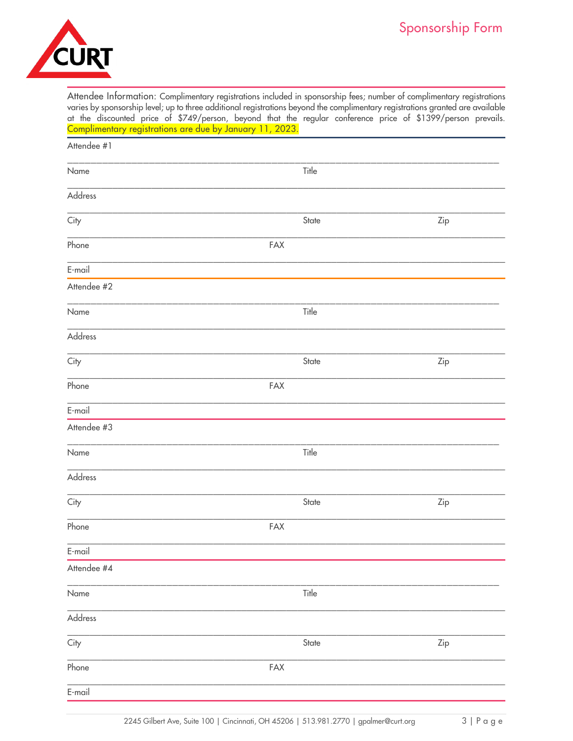

Attendee Information: Complimentary registrations included in sponsorship fees; number of complimentary registrations varies by sponsorship level; up to three additional registrations beyond the complimentary registrations granted are available at the discounted price of \$749/person, beyond that the regular conference price of \$1399/person prevails. Complimentary registrations are due by January 11, 2023.

| Attendee #1 |       |     |
|-------------|-------|-----|
| Name        | Title |     |
| Address     |       |     |
| City        | State | Zip |
| Phone       | FAX   |     |
| E-mail      |       |     |
| Attendee #2 |       |     |
| Name        | Title |     |
| Address     |       |     |
| City        | State | Zip |
| Phone       | FAX   |     |
| $E$ -mail   |       |     |
| Attendee #3 |       |     |
| Name        | Title |     |
| Address     |       |     |
| City        | State | Zip |
| Phone       | FAX   |     |
| $E$ -mail   |       |     |
| Attendee #4 |       |     |
| Name        | Title |     |
| Address     |       |     |
| City        | State | Zip |
| Phone       | FAX   |     |
| $E$ -mail   |       |     |
|             |       |     |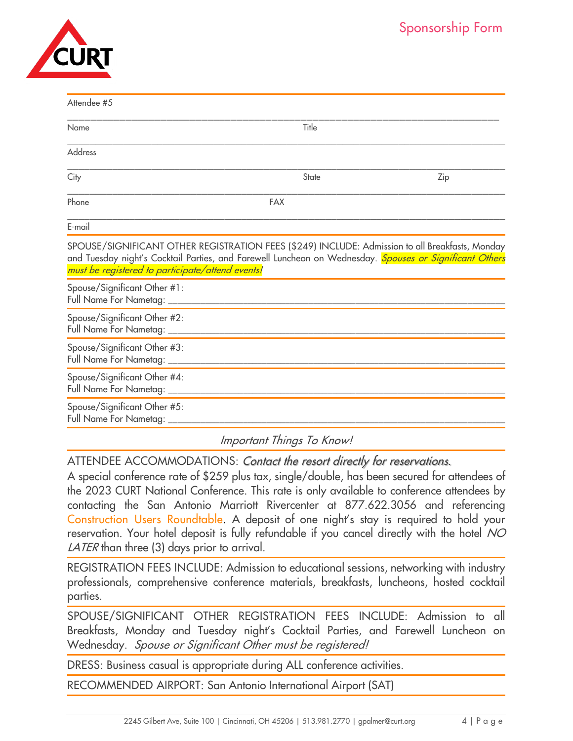| URT |
|-----|
|     |

 $A_H$  and  $A_H$   $B$ 

| Anenaee #J                                                                                                                                                                                                                                                     |                           |     |
|----------------------------------------------------------------------------------------------------------------------------------------------------------------------------------------------------------------------------------------------------------------|---------------------------|-----|
| Name                                                                                                                                                                                                                                                           | Title                     |     |
| <b>Address</b>                                                                                                                                                                                                                                                 |                           |     |
| City                                                                                                                                                                                                                                                           | State                     | Zip |
| Phone                                                                                                                                                                                                                                                          | <b>FAX</b>                |     |
| E-mail                                                                                                                                                                                                                                                         |                           |     |
| SPOUSE/SIGNIFICANT OTHER REGISTRATION FEES (\$249) INCLUDE: Admission to all Breakfasts, Monday<br>and Tuesday night's Cocktail Parties, and Farewell Luncheon on Wednesday. Spouses or Significant Others<br>must be registered to participate/attend events! |                           |     |
| Spouse/Significant Other #1:<br>Full Name For Nametag: ____                                                                                                                                                                                                    |                           |     |
| Spouse/Significant Other #2:<br>Full Name For Nametag: _______________                                                                                                                                                                                         |                           |     |
| Spouse/Significant Other #3:<br>Full Name For Nametag: ____________________                                                                                                                                                                                    |                           |     |
| Spouse/Significant Other #4:<br>Full Name For Nametag: ____                                                                                                                                                                                                    |                           |     |
| Spouse/Significant Other #5:<br>Full Name For Nametag: _                                                                                                                                                                                                       |                           |     |
|                                                                                                                                                                                                                                                                | Important Things To Know! |     |

ATTENDEE ACCOMMODATIONS: Contact the resort directly for reservations.

A special conference rate of \$259 plus tax, single/double, has been secured for attendees of the 2023 CURT National Conference. This rate is only available to conference attendees by contacting the San Antonio Marriott Rivercenter at 877.622.3056 and referencing Construction Users Roundtable. A deposit of one night's stay is required to hold your reservation. Your hotel deposit is fully refundable if you cancel directly with the hotel NO LATER than three (3) days prior to arrival.

REGISTRATION FEES INCLUDE: Admission to educational sessions, networking with industry professionals, comprehensive conference materials, breakfasts, luncheons, hosted cocktail parties.

SPOUSE/SIGNIFICANT OTHER REGISTRATION FEES INCLUDE: Admission to all Breakfasts, Monday and Tuesday night's Cocktail Parties, and Farewell Luncheon on Wednesday. Spouse or Significant Other must be registered!

DRESS: Business casual is appropriate during ALL conference activities.

RECOMMENDED AIRPORT: San Antonio International Airport (SAT)